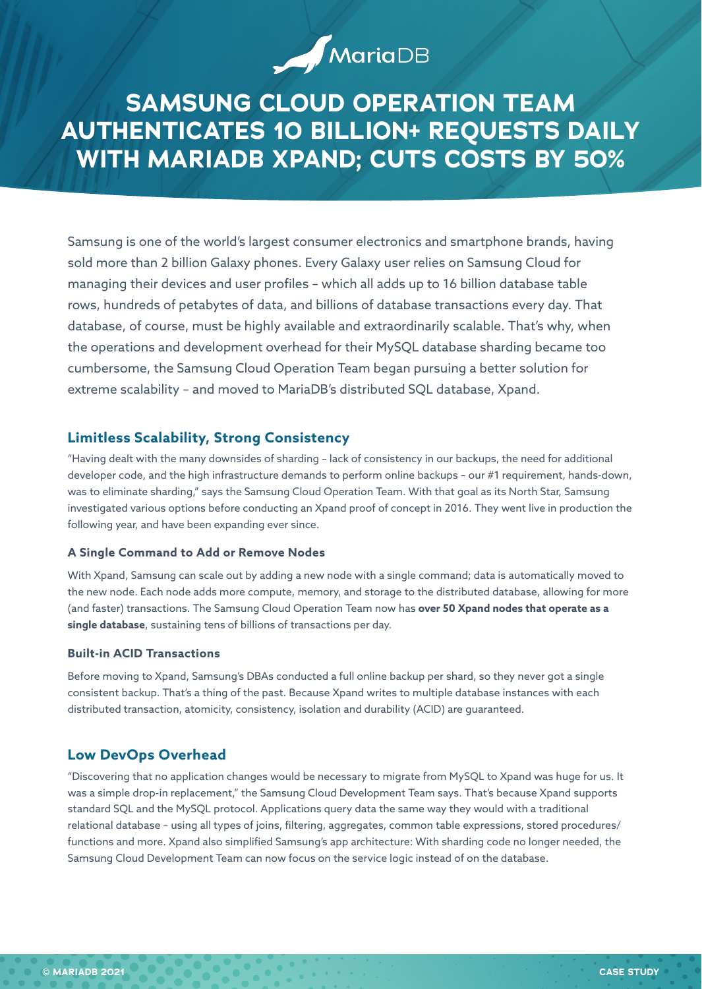# **SAMSUNG CLOUD OPERATION TEAM AUTHENTICATES 10 BILLION+ REQUESTS DAILY WITH MARIADB XPAND; CUTS COSTS BY 50%**

MariaDB

Samsung is one of the world's largest consumer electronics and smartphone brands, having sold more than 2 billion Galaxy phones. Every Galaxy user relies on Samsung Cloud for managing their devices and user profiles – which all adds up to 16 billion database table rows, hundreds of petabytes of data, and billions of database transactions every day. That database, of course, must be highly available and extraordinarily scalable. That's why, when the operations and development overhead for their MySQL database sharding became too cumbersome, the Samsung Cloud Operation Team began pursuing a better solution for extreme scalability – and moved to MariaDB's distributed SQL database, Xpand.

# **Limitless Scalability, Strong Consistency**

"Having dealt with the many downsides of sharding – lack of consistency in our backups, the need for additional developer code, and the high infrastructure demands to perform online backups – our #1 requirement, hands-down, was to eliminate sharding," says the Samsung Cloud Operation Team. With that goal as its North Star, Samsung investigated various options before conducting an Xpand proof of concept in 2016. They went live in production the following year, and have been expanding ever since.

#### **A Single Command to Add or Remove Nodes**

With Xpand, Samsung can scale out by adding a new node with a single command; data is automatically moved to the new node. Each node adds more compute, memory, and storage to the distributed database, allowing for more (and faster) transactions. The Samsung Cloud Operation Team now has **over 50 Xpand nodes that operate as a single database**, sustaining tens of billions of transactions per day.

#### **Built-in ACID Transactions**

Before moving to Xpand, Samsung's DBAs conducted a full online backup per shard, so they never got a single consistent backup. That's a thing of the past. Because Xpand writes to multiple database instances with each distributed transaction, atomicity, consistency, isolation and durability (ACID) are guaranteed.

# **Low DevOps Overhead**

"Discovering that no application changes would be necessary to migrate from MySQL to Xpand was huge for us. It was a simple drop-in replacement," the Samsung Cloud Development Team says. That's because Xpand supports standard SQL and the MySQL protocol. Applications query data the same way they would with a traditional relational database – using all types of joins, filtering, aggregates, common table expressions, stored procedures/ functions and more. Xpand also simplified Samsung's app architecture: With sharding code no longer needed, the Samsung Cloud Development Team can now focus on the service logic instead of on the database.